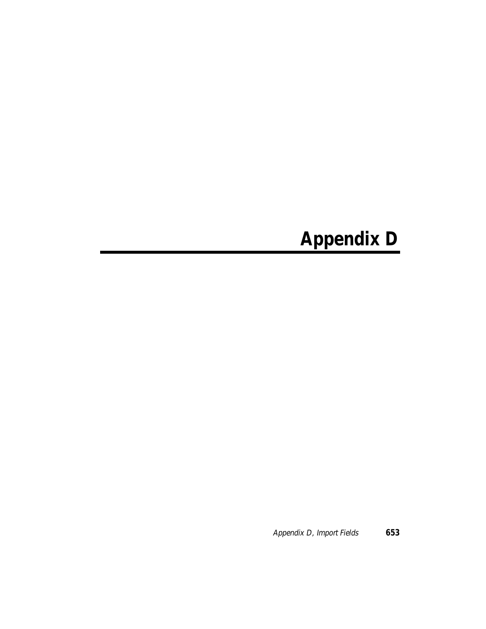# **Appendix D**

Appendix D, Import Fields **653**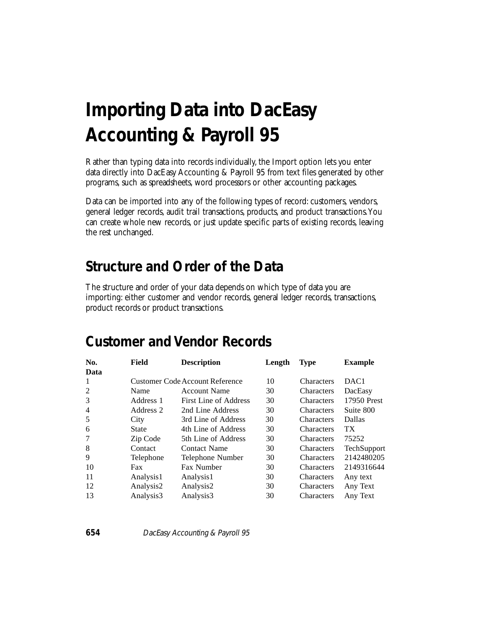# **Importing Data into DacEasy Accounting & Payroll 95**

Rather than typing data into records individually, the Import option lets you enter data directly into DacEasy Accounting & Payroll 95 from text files generated by other programs, such as spreadsheets, word processors or other accounting packages.

Data can be imported into any of the following types of record: customers, vendors, general ledger records, audit trail transactions, products, and product transactions. You can create whole new records, or just update specific parts of existing records, leaving the rest unchanged.

### **Structure and Order of the Data**

The structure and order of your data depends on which type of data you are importing: either customer and vendor records, general ledger records, transactions, product records or product transactions.

#### **Customer and Vendor Records**

| No.            | Field     | <b>Description</b>                     | Length | <b>Type</b>       | <b>Example</b>     |
|----------------|-----------|----------------------------------------|--------|-------------------|--------------------|
| Data           |           |                                        |        |                   |                    |
| 1              |           | <b>Customer Code Account Reference</b> | 10     | <b>Characters</b> | DAC <sub>1</sub>   |
| 2              | Name      | <b>Account Name</b>                    | 30     | <b>Characters</b> | DacEasy            |
| 3              | Address 1 | First Line of Address                  | 30     | Characters        | 17950 Prest        |
| $\overline{4}$ | Address 2 | 2nd Line Address                       | 30     | <b>Characters</b> | Suite 800          |
| 5              | City      | 3rd Line of Address                    | 30     | Characters        | <b>Dallas</b>      |
| 6              | State     | 4th Line of Address                    | 30     | <b>Characters</b> | TX.                |
| 7              | Zip Code  | 5th Line of Address                    | 30     | <b>Characters</b> | 75252              |
| 8              | Contact   | <b>Contact Name</b>                    | 30     | <b>Characters</b> | <b>TechSupport</b> |
| 9              | Telephone | Telephone Number                       | 30     | <b>Characters</b> | 2142480205         |
| 10             | Fax       | Fax Number                             | 30     | <b>Characters</b> | 2149316644         |
| 11             | Analysis1 | Analysis1                              | 30     | Characters        | Any text           |
| 12             | Analysis2 | Analysis2                              | 30     | Characters        | Any Text           |
| 13             | Analysis3 | Analysis3                              | 30     | Characters        | Any Text           |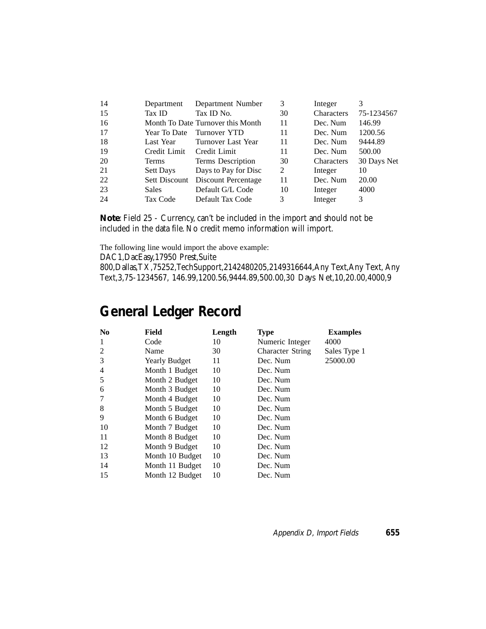| -14 | Department       | Department Number                 | 3  | Integer    |             |
|-----|------------------|-----------------------------------|----|------------|-------------|
| 15  | Tax ID           | Tax ID No.                        | 30 | Characters | 75-1234567  |
| -16 |                  | Month To Date Turnover this Month | 11 | Dec. Num   | 146.99      |
| 17  | Year To Date     | Turnover YTD                      | 11 | Dec. Num   | 1200.56     |
| -18 | Last Year        | Turnover Last Year                | 11 | Dec. Num   | 9444.89     |
| -19 | Credit Limit     | Credit Limit                      | 11 | Dec. Num   | 500.00      |
| 20  | <b>Terms</b>     | Terms Description                 | 30 | Characters | 30 Days Net |
| 21  | <b>Sett Days</b> | Days to Pay for Disc              | 2  | Integer    | 10          |
| 22  | Sett Discount    | Discount Percentage               | 11 | Dec. Num   | 20.00       |
| 23  | <b>Sales</b>     | Default G/L Code                  | 10 | Integer    | 4000        |
| 24  | Tax Code         | Default Tax Code                  | 3  | Integer    | 3           |

**Note**: Field 25 - Currency, can't be included in the import and should not be included in the data file. No credit memo information will import.

The following line would import the above example:

DAC1,DacEasy,17950 Prest,Suite

800,Dallas,TX,75252,TechSupport,2142480205,2149316644,Any Text,Any Text, Any Text,3,75-1234567, 146.99,1200.56,9444.89,500.00,30 Days Net,10,20.00,4000,9

#### **General Ledger Record**

| N <sub>0</sub> | Field                | Length | <b>Type</b>             | <b>Examples</b> |
|----------------|----------------------|--------|-------------------------|-----------------|
| 1              | Code                 | 10     | Numeric Integer         | 4000            |
| 2              | Name                 | 30     | <b>Character String</b> | Sales Type 1    |
| 3              | <b>Yearly Budget</b> | 11     | Dec. Num                | 25000.00        |
| 4              | Month 1 Budget       | 10     | Dec. Num                |                 |
| 5              | Month 2 Budget       | 10     | Dec. Num                |                 |
| 6              | Month 3 Budget       | 10     | Dec. Num                |                 |
| 7              | Month 4 Budget       | 10     | Dec. Num                |                 |
| 8              | Month 5 Budget       | 10     | Dec. Num                |                 |
| 9              | Month 6 Budget       | 10     | Dec. Num                |                 |
| 10             | Month 7 Budget       | 10     | Dec. Num                |                 |
| 11             | Month 8 Budget       | 10     | Dec. Num                |                 |
| 12             | Month 9 Budget       | 10     | Dec. Num                |                 |
| 13             | Month 10 Budget      | 10     | Dec. Num                |                 |
| 14             | Month 11 Budget      | 10     | Dec. Num                |                 |
| 15             | Month 12 Budget      | 10     | Dec. Num                |                 |

Appendix D, Import Fields **655**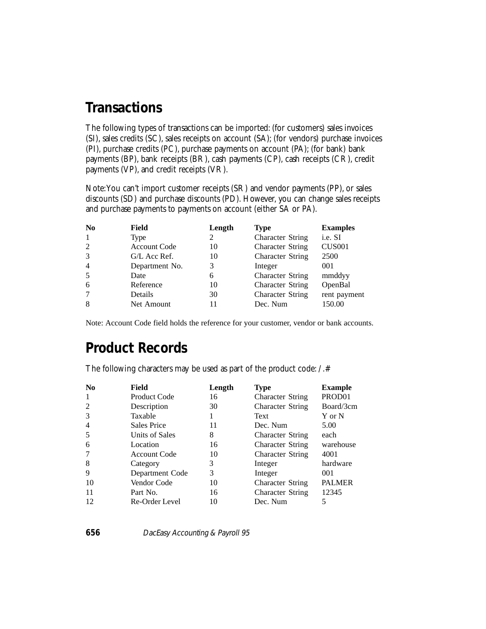#### **Transactions**

The following types of transactions can be imported: (for customers) sales invoices (SI), sales credits (SC), sales receipts on account (SA); (for vendors) purchase invoices (PI), purchase credits (PC), purchase payments on account (PA); (for bank) bank payments (BP), bank receipts (BR), cash payments (CP), cash receipts (CR), credit payments (VP), and credit receipts (VR).

Note: You can't import customer receipts (SR) and vendor payments (PP), or sales discounts (SD) and purchase discounts (PD). However, you can change sales receipts and purchase payments to payments on account (either SA or PA).

| N <sub>0</sub> | Field               | Length | <b>Type</b>             | <b>Examples</b> |
|----------------|---------------------|--------|-------------------------|-----------------|
| -1             | Type                | 2      | <b>Character String</b> | i.e. SI         |
| 2              | <b>Account Code</b> | 10     | <b>Character String</b> | <b>CUS001</b>   |
| 3              | G/L Acc Ref.        | 10     | <b>Character String</b> | 2500            |
| $\overline{4}$ | Department No.      | 3      | Integer                 | 001             |
| 5              | Date                | 6      | <b>Character String</b> | mmddyy          |
| 6              | Reference           | 10     | <b>Character String</b> | OpenBal         |
| 7              | Details             | 30     | <b>Character String</b> | rent payment    |
| 8              | Net Amount          | 11     | Dec. Num                | 150.00          |

Note: Account Code field holds the reference for your customer, vendor or bank accounts.

### **Product Records**

The following characters may be used as part of the product code:  $\angle$ .#

| N <sub>0</sub> | Field               | Length | Type                    | <b>Example</b> |
|----------------|---------------------|--------|-------------------------|----------------|
| $\mathbf{1}$   | <b>Product Code</b> | 16     | <b>Character String</b> | PROD01         |
|                | Description         | 30     | <b>Character String</b> | Board/3cm      |
| 3              | Taxable             |        | Text                    | Y or N         |
| $\overline{4}$ | <b>Sales Price</b>  | 11     | Dec. Num                | 5.00           |
| 5              | Units of Sales      | 8      | <b>Character String</b> | each           |
| 6              | Location            | 16     | <b>Character String</b> | warehouse      |
|                | <b>Account Code</b> | 10     | <b>Character String</b> | 4001           |
| 8              | Category            | 3      | Integer                 | hardware       |
| 9              | Department Code     | 3      | Integer                 | 001            |
| 10             | Vendor Code         | 10     | <b>Character String</b> | <b>PALMER</b>  |
| -11            | Part No.            | 16     | <b>Character String</b> | 12345          |
| 12             | Re-Order Level      | 10     | Dec. Num                |                |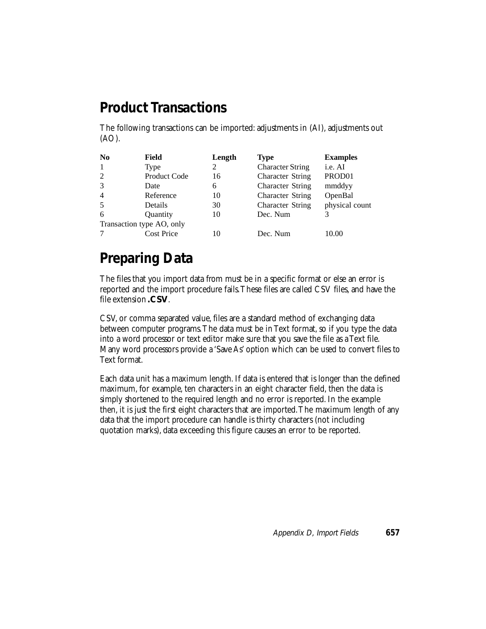## **Product Transactions**

The following transactions can be imported: adjustments in (AI), adjustments out (AO).

| N <sub>0</sub> | Field                     | Length | <b>Type</b>             | <b>Examples</b> |
|----------------|---------------------------|--------|-------------------------|-----------------|
| 1              | Type                      | 2      | <b>Character String</b> | i.e. AI         |
| 2              | <b>Product Code</b>       | 16     | <b>Character String</b> | PROD01          |
| 3              | Date                      | 6      | <b>Character String</b> | mmddyy          |
| $\overline{4}$ | Reference                 | 10     | <b>Character String</b> | OpenBal         |
| 5              | Details                   | 30     | <b>Character String</b> | physical count  |
| 6              | Quantity                  | 10     | Dec. Num                |                 |
|                | Transaction type AO, only |        |                         |                 |
|                | <b>Cost Price</b>         | 10     | Dec. Num                | 10.00           |

# **Preparing Data**

The files that you import data from must be in a specific format or else an error is reported and the import procedure fails. These files are called CSV files, and have the file extension **.CSV**.

CSV, or comma separated value, files are a standard method of exchanging data between computer programs. The data must be in Text format, so if you type the data into a word processor or text editor make sure that you save the file as a Text file. Many word processors provide a 'Save As' option which can be used to convert files to Text format.

Each data unit has a maximum length. If data is entered that is longer than the defined maximum, for example, ten characters in an eight character field, then the data is simply shortened to the required length and no error is reported. In the example then, it is just the first eight characters that are imported. The maximum length of any data that the import procedure can handle is thirty characters (not including quotation marks), data exceeding this figure causes an error to be reported.

Appendix D, Import Fields **657**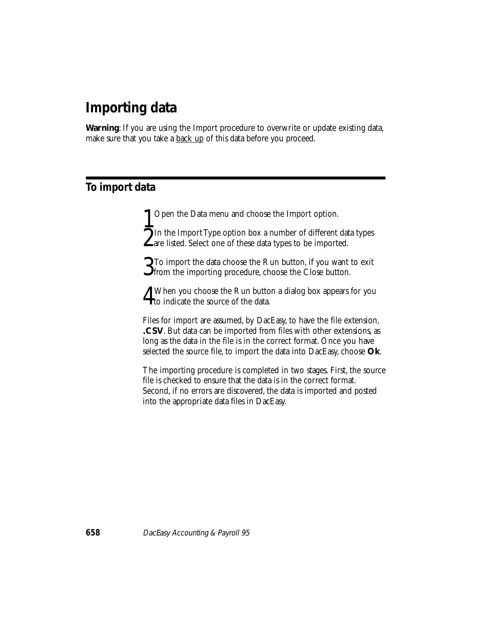## **Importing data**

**Warning**: If you are using the Import procedure to overwrite or update existing data, make sure that you take a **back up** of this data before you proceed.

#### **To import data**

1 Open the Data menu and choose the Import option.<br>The Import Type option box a number of different data types 2In the Import Type option box a number of different data types are listed. Select one of these data types to be imported.

3To import the data choose the Run button, if you want to exit from the importing procedure, choose the Close button.

4When you choose the Run button a dialog box appears for you to indicate the source of the data.

Files for import are assumed, by DacEasy, to have the file extension, **.CSV**. But data can be imported from files with other extensions, as long as the data in the file is in the correct format. Once you have selected the source file, to import the data into DacEasy, choose **Ok**.

The importing procedure is completed in two stages. First, the source file is checked to ensure that the data is in the correct format. Second, if no errors are discovered, the data is imported and posted into the appropriate data files in DacEasy.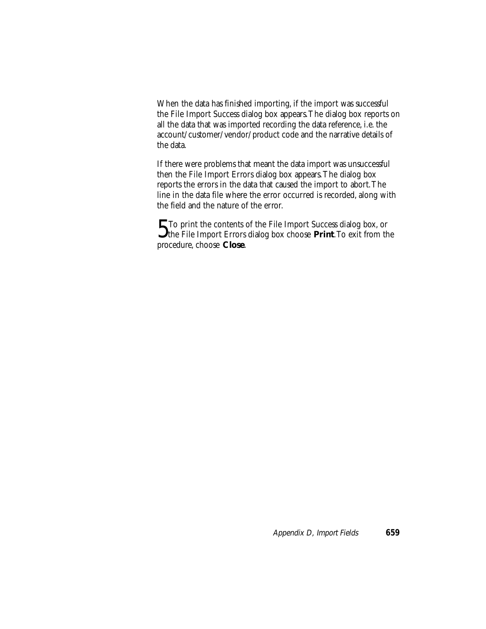When the data has finished importing, if the import was successful the File Import Success dialog box appears. The dialog box reports on all the data that was imported recording the data reference, i.e. the account/customer/vendor/product code and the narrative details of the data.

If there were problems that meant the data import was unsuccessful then the File Import Errors dialog box appears. The dialog box reports the errors in the data that caused the import to abort. The line in the data file where the error occurred is recorded, along with the field and the nature of the error.

5To print the contents of the File Import Success dialog box, or the File Import Errors dialog box choose **Print**. To exit from the procedure, choose **Close**.